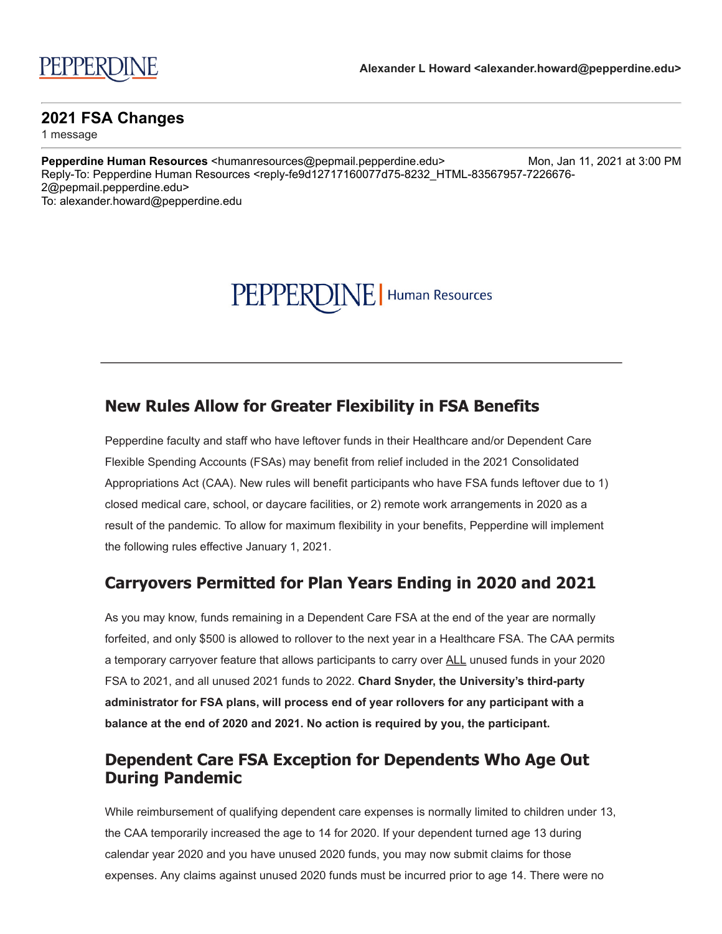# PEPPERDINE | Human Resources

## **New Rules Allow for Greater Flexibility in FSA Benefits**

Pepperdine faculty and staff who have leftover funds in their Healthcare and/or Dependent Care Flexible Spending Accounts (FSAs) may benefit from relief included in the 2021 Consolidated Appropriations Act (CAA). New rules will benefit participants who have FSA funds leftover due to 1) closed medical care, school, or daycare facilities, or 2) remote work arrangements in 2020 as a result of the pandemic. To allow for maximum flexibility in your benefits, Pepperdine will implement the following rules effective January 1, 2021.

### **Carryovers Permitted for Plan Years Ending in 2020 and 2021**

As you may know, funds remaining in a Dependent Care FSA at the end of the year are normally forfeited, and only \$500 is allowed to rollover to the next year in a Healthcare FSA. The CAA permits a temporary carryover feature that allows participants to carry over ALL unused funds in your 2020 FSA to 2021, and all unused 2021 funds to 2022. **Chard Snyder, the University's third-party administrator for FSA plans, will process end of year rollovers for any participant with a balance at the end of 2020 and 2021. No action is required by you, the participant.**

## **Dependent Care FSA Exception for Dependents Who Age Out During Pandemic**

While reimbursement of qualifying dependent care expenses is normally limited to children under 13, the CAA temporarily increased the age to 14 for 2020. If your dependent turned age 13 during calendar year 2020 and you have unused 2020 funds, you may now submit claims for those expenses. Any claims against unused 2020 funds must be incurred prior to age 14. There were no